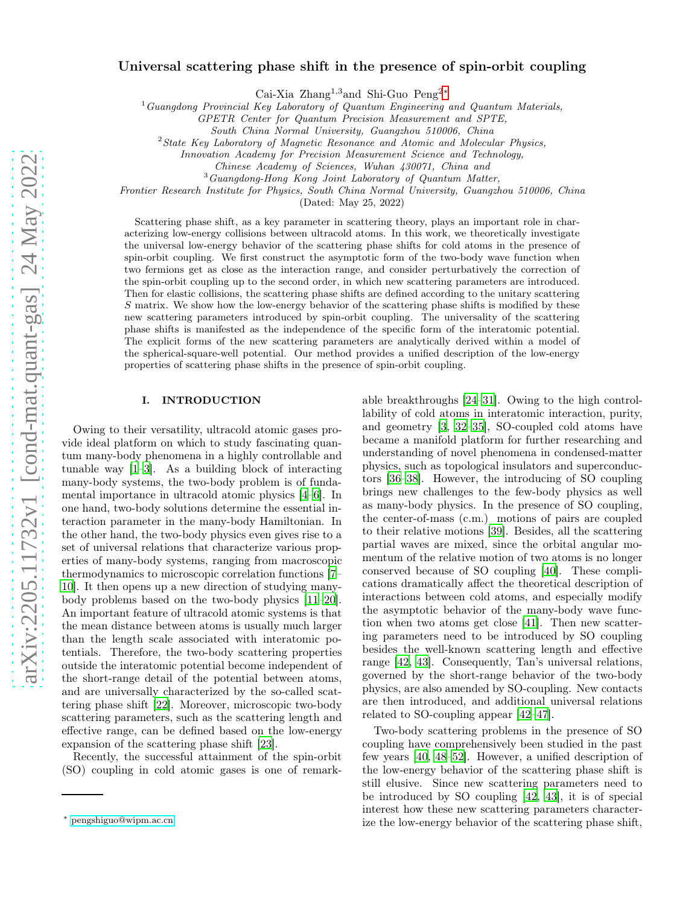# Universal scattering phase shift in the presence of spin-orbit coupling

Cai-Xia Zhang<sup>1</sup>,<sup>3</sup>and Shi-Guo Peng<sup>2</sup>[∗](#page-0-0)

 ${}^{1}$ Guangdong Provincial Key Laboratory of Quantum Engineering and Quantum Materials,

GPETR Center for Quantum Precision Measurement and SPTE,

South China Normal University, Guangzhou 510006, China

 $2$ State Key Laboratory of Magnetic Resonance and Atomic and Molecular Physics,

Innovation Academy for Precision Measurement Science and Technology,

<sup>3</sup>Guangdong-Hong Kong Joint Laboratory of Quantum Matter,

Frontier Research Institute for Physics, South China Normal University, Guangzhou 510006, China

(Dated: May 25, 2022)

Scattering phase shift, as a key parameter in scattering theory, plays an important role in characterizing low-energy collisions between ultracold atoms. In this work, we theoretically investigate the universal low-energy behavior of the scattering phase shifts for cold atoms in the presence of spin-orbit coupling. We first construct the asymptotic form of the two-body wave function when two fermions get as close as the interaction range, and consider perturbatively the correction of the spin-orbit coupling up to the second order, in which new scattering parameters are introduced. Then for elastic collisions, the scattering phase shifts are defined according to the unitary scattering S matrix. We show how the low-energy behavior of the scattering phase shifts is modified by these new scattering parameters introduced by spin-orbit coupling. The universality of the scattering phase shifts is manifested as the independence of the specific form of the interatomic potential. The explicit forms of the new scattering parameters are analytically derived within a model of the spherical-square-well potential. Our method provides a unified description of the low-energy properties of scattering phase shifts in the presence of spin-orbit coupling.

#### I. INTRODUCTION

Owing to their versatility, ultracold atomic gases provide ideal platform on which to study fascinating quantum many-body phenomena in a highly controllable and tunable way [\[1](#page-6-0)[–3\]](#page-6-1). As a building block of interacting many-body systems, the two-body problem is of fundamental importance in ultracold atomic physics [\[4](#page-6-2)[–6](#page-6-3)]. In one hand, two-body solutions determine the essential interaction parameter in the many-body Hamiltonian. In the other hand, the two-body physics even gives rise to a set of universal relations that characterize various properties of many-body systems, ranging from macroscopic thermodynamics to microscopic correlation functions [\[7](#page-6-4)– [10\]](#page-7-0). It then opens up a new direction of studying manybody problems based on the two-body physics [\[11](#page-7-1)[–20\]](#page-7-2). An important feature of ultracold atomic systems is that the mean distance between atoms is usually much larger than the length scale associated with interatomic potentials. Therefore, the two-body scattering properties outside the interatomic potential become independent of the short-range detail of the potential between atoms, and are universally characterized by the so-called scattering phase shift [\[22\]](#page-7-3). Moreover, microscopic two-body scattering parameters, such as the scattering length and effective range, can be defined based on the low-energy expansion of the scattering phase shift [\[23\]](#page-7-4).

Recently, the successful attainment of the spin-orbit (SO) coupling in cold atomic gases is one of remarkable breakthroughs [\[24](#page-7-5)[–31](#page-7-6)]. Owing to the high controllability of cold atoms in interatomic interaction, purity, and geometry [\[3,](#page-6-1) [32](#page-7-7)[–35](#page-7-8)], SO-coupled cold atoms have became a manifold platform for further researching and understanding of novel phenomena in condensed-matter physics, such as topological insulators and superconductors [\[36](#page-7-9)[–38\]](#page-7-10). However, the introducing of SO coupling brings new challenges to the few-body physics as well as many-body physics. In the presence of SO coupling, the center-of-mass (c.m.) motions of pairs are coupled to their relative motions [\[39\]](#page-7-11). Besides, all the scattering partial waves are mixed, since the orbital angular momentum of the relative motion of two atoms is no longer conserved because of SO coupling [\[40](#page-7-12)]. These complications dramatically affect the theoretical description of interactions between cold atoms, and especially modify the asymptotic behavior of the many-body wave function when two atoms get close [\[41](#page-7-13)]. Then new scattering parameters need to be introduced by SO coupling besides the well-known scattering length and effective range [\[42,](#page-7-14) [43\]](#page-7-15). Consequently, Tan's universal relations, governed by the short-range behavior of the two-body physics, are also amended by SO-coupling. New contacts are then introduced, and additional universal relations related to SO-coupling appear [\[42](#page-7-14)[–47\]](#page-7-16).

Two-body scattering problems in the presence of SO coupling have comprehensively been studied in the past few years [\[40](#page-7-12), [48](#page-8-0)[–52\]](#page-8-1). However, a unified description of the low-energy behavior of the scattering phase shift is still elusive. Since new scattering parameters need to be introduced by SO coupling [\[42,](#page-7-14) [43](#page-7-15)], it is of special interest how these new scattering parameters characterize the low-energy behavior of the scattering phase shift,

Chinese Academy of Sciences, Wuhan 430071, China and

<span id="page-0-0"></span><sup>∗</sup> [pengshiguo@wipm.ac.cn](mailto:pengshiguo@wipm.ac.cn)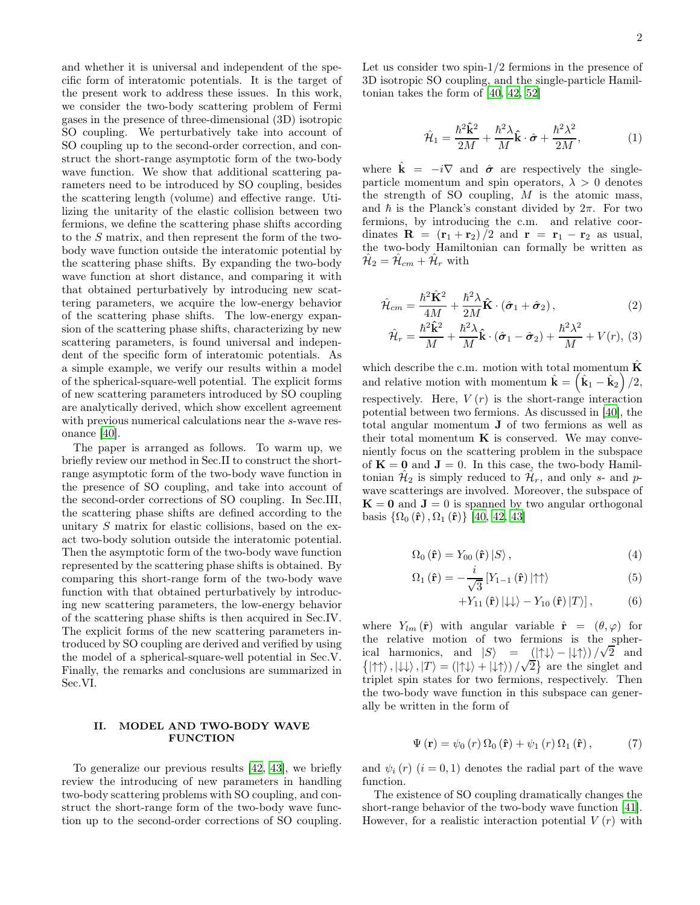and whether it is universal and independent of the specific form of interatomic potentials. It is the target of the present work to address these issues. In this work, we consider the two-body scattering problem of Fermi gases in the presence of three-dimensional (3D) isotropic SO coupling. We perturbatively take into account of SO coupling up to the second-order correction, and construct the short-range asymptotic form of the two-body wave function. We show that additional scattering parameters need to be introduced by SO coupling, besides the scattering length (volume) and effective range. Utilizing the unitarity of the elastic collision between two fermions, we define the scattering phase shifts according to the S matrix, and then represent the form of the twobody wave function outside the interatomic potential by the scattering phase shifts. By expanding the two-body wave function at short distance, and comparing it with that obtained perturbatively by introducing new scattering parameters, we acquire the low-energy behavior of the scattering phase shifts. The low-energy expansion of the scattering phase shifts, characterizing by new scattering parameters, is found universal and independent of the specific form of interatomic potentials. As a simple example, we verify our results within a model of the spherical-square-well potential. The explicit forms of new scattering parameters introduced by SO coupling are analytically derived, which show excellent agreement with previous numerical calculations near the s-wave resonance [\[40\]](#page-7-12).

The paper is arranged as follows. To warm up, we briefly review our method in Sec.II to construct the shortrange asymptotic form of the two-body wave function in the presence of SO coupling, and take into account of the second-order corrections of SO coupling. In Sec.III, the scattering phase shifts are defined according to the unitary S matrix for elastic collisions, based on the exact two-body solution outside the interatomic potential. Then the asymptotic form of the two-body wave function represented by the scattering phase shifts is obtained. By comparing this short-range form of the two-body wave function with that obtained perturbatively by introducing new scattering parameters, the low-energy behavior of the scattering phase shifts is then acquired in Sec.IV. The explicit forms of the new scattering parameters introduced by SO coupling are derived and verified by using the model of a spherical-square-well potential in Sec.V. Finally, the remarks and conclusions are summarized in Sec.VI.

### II. MODEL AND TWO-BODY WAVE **FUNCTION**

To generalize our previous results [\[42,](#page-7-14) [43\]](#page-7-15), we briefly review the introducing of new parameters in handling two-body scattering problems with SO coupling, and construct the short-range form of the two-body wave function up to the second-order corrections of SO coupling.

Let us consider two spin-1/2 fermions in the presence of 3D isotropic SO coupling, and the single-particle Hamiltonian takes the form of [\[40](#page-7-12), [42](#page-7-14), [52\]](#page-8-1)

$$
\hat{\mathcal{H}}_1 = \frac{\hbar^2 \hat{\mathbf{k}}^2}{2M} + \frac{\hbar^2 \lambda}{M} \hat{\mathbf{k}} \cdot \hat{\boldsymbol{\sigma}} + \frac{\hbar^2 \lambda^2}{2M},\tag{1}
$$

where  $\hat{\mathbf{k}} = -i\nabla$  and  $\hat{\boldsymbol{\sigma}}$  are respectively the singleparticle momentum and spin operators,  $\lambda > 0$  denotes the strength of SO coupling,  $M$  is the atomic mass, and  $\hbar$  is the Planck's constant divided by  $2\pi$ . For two fermions, by introducing the c.m. and relative coordinates  $\mathbf{R} = (\mathbf{r}_1 + \mathbf{r}_2)/2$  and  $\mathbf{r} = \mathbf{r}_1 - \mathbf{r}_2$  as usual, the two-body Hamiltonian can formally be written as  $\hat{\mathcal{H}}_2 = \hat{\mathcal{H}}_{cm} + \hat{\mathcal{H}}_r$  with

$$
\hat{\mathcal{H}}_{cm} = \frac{\hbar^2 \hat{\mathbf{K}}^2}{4M} + \frac{\hbar^2 \lambda}{2M} \hat{\mathbf{K}} \cdot (\hat{\boldsymbol{\sigma}}_1 + \hat{\boldsymbol{\sigma}}_2), \tag{2}
$$

$$
\hat{\mathcal{H}}_r = \frac{\hbar^2 \hat{\mathbf{k}}^2}{M} + \frac{\hbar^2 \lambda}{M} \hat{\mathbf{k}} \cdot (\hat{\boldsymbol{\sigma}}_1 - \hat{\boldsymbol{\sigma}}_2) + \frac{\hbar^2 \lambda^2}{M} + V(r), (3)
$$

which describe the c.m. motion with total momentum  $\hat{\mathbf{K}}$ and relative motion with momentum  $\hat{\mathbf{k}} = (\hat{\mathbf{k}}_1 - \hat{\mathbf{k}}_2)/2$ , respectively. Here,  $V(r)$  is the short-range interaction potential between two fermions. As discussed in [\[40\]](#page-7-12), the total angular momentum J of two fermions as well as their total momentum  $K$  is conserved. We may conveniently focus on the scattering problem in the subspace of  $K = 0$  and  $J = 0$ . In this case, the two-body Hamiltonian  $\hat{\mathcal{H}}_2$  is simply reduced to  $\hat{\mathcal{H}}_r$ , and only s- and pwave scatterings are involved. Moreover, the subspace of  $K = 0$  and  $J = 0$  is spanned by two angular orthogonal basis  $\{\Omega_0(\hat{\bf r}), \Omega_1(\hat{\bf r})\}\$  [\[40](#page-7-12), [42](#page-7-14), [43](#page-7-15)]

$$
\Omega_0\left(\hat{\mathbf{r}}\right) = Y_{00}\left(\hat{\mathbf{r}}\right)|S\rangle\,,\tag{4}
$$

$$
\Omega_{1}(\hat{\mathbf{r}}) = -\frac{i}{\sqrt{3}} \left[ Y_{1-1}(\hat{\mathbf{r}}) \left| \uparrow \uparrow \right> \right] \tag{5}
$$

$$
+Y_{11}\left(\mathbf{\hat{r}}\right)\left|\downarrow\downarrow\right\rangle-Y_{10}\left(\mathbf{\hat{r}}\right)\left|T\right\rangle\right],\qquad\qquad(6)
$$

where  $Y_{lm}(\hat{\mathbf{r}})$  with angular variable  $\hat{\mathbf{r}} = (\theta, \varphi)$  for the relative motion of two fermions is the spherical harmonics, and  $|S\rangle = \frac{(|\uparrow\downarrow\rangle - |\downarrow\uparrow\rangle)}{\sqrt{2}}$  and  $\{|\uparrow\downarrow\rangle, |\downarrow\downarrow\rangle, |T\rangle = (|\uparrow\downarrow\rangle + |\downarrow\uparrow\rangle)/\sqrt{2}\}$  are the singlet and triplet spin states for two fermions, respectively. Then the two-body wave function in this subspace can generally be written in the form of

$$
\Psi(\mathbf{r}) = \psi_0(r) \,\Omega_0\left(\hat{\mathbf{r}}\right) + \psi_1\left(r\right) \Omega_1\left(\hat{\mathbf{r}}\right),\tag{7}
$$

and  $\psi_i(r)$   $(i = 0, 1)$  denotes the radial part of the wave function.

The existence of SO coupling dramatically changes the short-range behavior of the two-body wave function [\[41\]](#page-7-13). However, for a realistic interaction potential  $V(r)$  with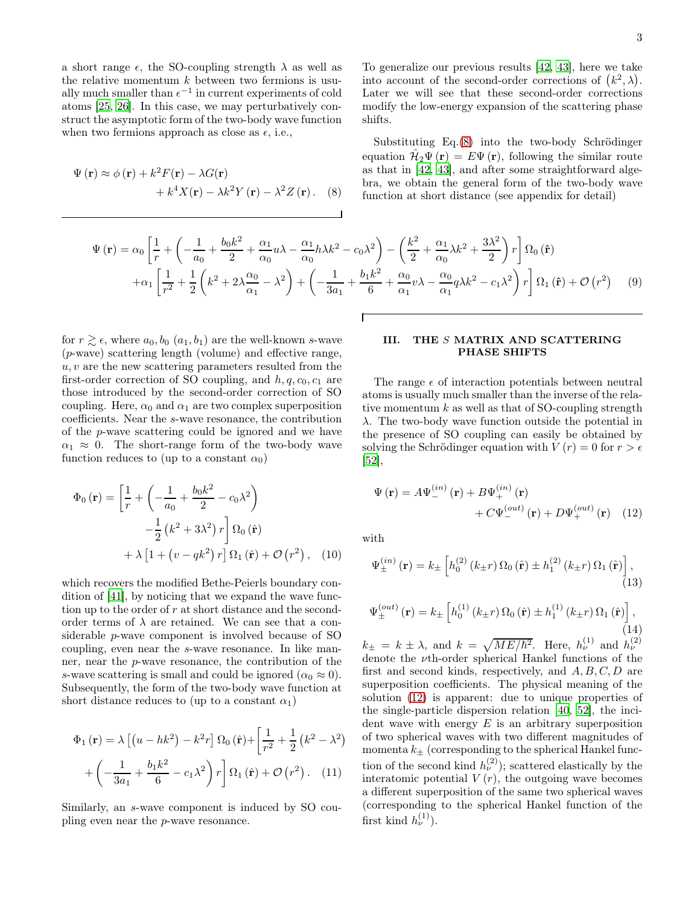a short range  $\epsilon$ , the SO-coupling strength  $\lambda$  as well as the relative momentum  $k$  between two fermions is usually much smaller than  $\epsilon^{-1}$  in current experiments of cold atoms [\[25](#page-7-17), [26\]](#page-7-18). In this case, we may perturbatively construct the asymptotic form of the two-body wave function when two fermions approach as close as  $\epsilon$ , i.e.,

$$
\Psi(\mathbf{r}) \approx \phi(\mathbf{r}) + k^2 F(\mathbf{r}) - \lambda G(\mathbf{r}) + k^4 X(\mathbf{r}) - \lambda k^2 Y(\mathbf{r}) - \lambda^2 Z(\mathbf{r}).
$$
 (8)

To generalize our previous results [\[42](#page-7-14), [43\]](#page-7-15), here we take into account of the second-order corrections of  $(k^2, \lambda)$ . Later we will see that these second-order corrections modify the low-energy expansion of the scattering phase shifts.

<span id="page-2-0"></span>Substituting Eq.[\(8\)](#page-2-0) into the two-body Schrödinger equation  $\hat{\mathcal{H}}_2\Psi(\mathbf{r}) = E\Psi(\mathbf{r})$ , following the similar route as that in [\[42](#page-7-14), [43\]](#page-7-15), and after some straightforward algebra, we obtain the general form of the two-body wave function at short distance (see appendix for detail)

<span id="page-2-6"></span>
$$
\Psi(\mathbf{r}) = \alpha_0 \left[ \frac{1}{r} + \left( -\frac{1}{a_0} + \frac{b_0 k^2}{2} + \frac{\alpha_1}{\alpha_0} u \lambda - \frac{\alpha_1}{\alpha_0} h \lambda k^2 - c_0 \lambda^2 \right) - \left( \frac{k^2}{2} + \frac{\alpha_1}{\alpha_0} \lambda k^2 + \frac{3 \lambda^2}{2} \right) r \right] \Omega_0 \left( \hat{\mathbf{r}} \right)
$$

$$
+ \alpha_1 \left[ \frac{1}{r^2} + \frac{1}{2} \left( k^2 + 2 \lambda \frac{\alpha_0}{\alpha_1} - \lambda^2 \right) + \left( -\frac{1}{3a_1} + \frac{b_1 k^2}{6} + \frac{\alpha_0}{\alpha_1} v \lambda - \frac{\alpha_0}{\alpha_1} q \lambda k^2 - c_1 \lambda^2 \right) r \right] \Omega_1 \left( \hat{\mathbf{r}} \right) + \mathcal{O} \left( r^2 \right) \tag{9}
$$

 $\mathsf{r}$ 

for  $r \gtrsim \epsilon$ , where  $a_0, b_0$   $(a_1, b_1)$  are the well-known s-wave  $(p$ -wave) scattering length (volume) and effective range,  $u, v$  are the new scattering parameters resulted from the first-order correction of SO coupling, and  $h, q, c_0, c_1$  are those introduced by the second-order correction of SO coupling. Here,  $\alpha_0$  and  $\alpha_1$  are two complex superposition coefficients. Near the s-wave resonance, the contribution of the p-wave scattering could be ignored and we have  $\alpha_1 \approx 0$ . The short-range form of the two-body wave function reduces to (up to a constant  $\alpha_0$ )

$$
\Phi_0(\mathbf{r}) = \left[\frac{1}{r} + \left(-\frac{1}{a_0} + \frac{b_0 k^2}{2} - c_0 \lambda^2\right) -\frac{1}{2} \left(k^2 + 3\lambda^2\right) r\right] \Omega_0(\hat{\mathbf{r}}) + \lambda \left[1 + \left(v - qk^2\right) r\right] \Omega_1(\hat{\mathbf{r}}) + \mathcal{O}\left(r^2\right), \quad (10)
$$

which recovers the modified Bethe-Peierls boundary condition of [\[41](#page-7-13)], by noticing that we expand the wave function up to the order of r at short distance and the secondorder terms of  $\lambda$  are retained. We can see that a considerable p-wave component is involved because of SO coupling, even near the s-wave resonance. In like manner, near the p-wave resonance, the contribution of the s-wave scattering is small and could be ignored  $(\alpha_0 \approx 0)$ . Subsequently, the form of the two-body wave function at short distance reduces to (up to a constant  $\alpha_1$ )

$$
\Phi_1(\mathbf{r}) = \lambda \left[ \left( u - hk^2 \right) - k^2 r \right] \Omega_0(\hat{\mathbf{r}}) + \left[ \frac{1}{r^2} + \frac{1}{2} \left( k^2 - \lambda^2 \right) + \left( -\frac{1}{3a_1} + \frac{b_1 k^2}{6} - c_1 \lambda^2 \right) r \right] \Omega_1(\hat{\mathbf{r}}) + \mathcal{O}(\hat{r}^2). \quad (11)
$$

Similarly, an s-wave component is induced by SO coupling even near the p-wave resonance.

### III. THE S MATRIX AND SCATTERING PHASE SHIFTS

The range  $\epsilon$  of interaction potentials between neutral atoms is usually much smaller than the inverse of the relative momentum  $k$  as well as that of SO-coupling strength  $\lambda$ . The two-body wave function outside the potential in the presence of SO coupling can easily be obtained by solving the Schrödinger equation with  $V(r) = 0$  for  $r > \epsilon$  $|52|,$ 

<span id="page-2-1"></span>
$$
\Psi(\mathbf{r}) = A\Psi_{-}^{(in)}(\mathbf{r}) + B\Psi_{+}^{(in)}(\mathbf{r}) + C\Psi_{-}^{(out)}(\mathbf{r}) + D\Psi_{+}^{(out)}(\mathbf{r}) \quad (12)
$$

<span id="page-2-4"></span>with

<span id="page-2-2"></span>
$$
\Psi_{\pm}^{(in)}(\mathbf{r}) = k_{\pm} \left[ h_0^{(2)}\left(k_{\pm}r\right) \Omega_0\left(\hat{\mathbf{r}}\right) \pm h_1^{(2)}\left(k_{\pm}r\right) \Omega_1\left(\hat{\mathbf{r}}\right) \right],\tag{13}
$$

<span id="page-2-3"></span>
$$
\Psi_{\pm}^{(out)}(\mathbf{r}) = k_{\pm} \left[ h_0^{(1)}\left(k_{\pm}r\right) \Omega_0\left(\hat{\mathbf{r}}\right) \pm h_1^{(1)}\left(k_{\pm}r\right) \Omega_1\left(\hat{\mathbf{r}}\right) \right],\tag{14}
$$

<span id="page-2-5"></span> $k_{\pm} = k \pm \lambda$ , and  $k = \sqrt{ME/\hbar^2}$ . Here,  $h_{\nu}^{(1)}$  and  $h_{\nu}^{(2)}$ denote the νth-order spherical Hankel functions of the first and second kinds, respectively, and  $A, B, C, D$  are superposition coefficients. The physical meaning of the solution [\(12\)](#page-2-1) is apparent: due to unique properties of the single-particle dispersion relation [\[40,](#page-7-12) [52](#page-8-1)], the incident wave with energy  $E$  is an arbitrary superposition of two spherical waves with two different magnitudes of momenta  $k_{\pm}$  (corresponding to the spherical Hankel function of the second kind  $h_{\nu}^{(2)}$ ); scattered elastically by the interatomic potential  $V(r)$ , the outgoing wave becomes a different superposition of the same two spherical waves (corresponding to the spherical Hankel function of the first kind  $h_{\nu}^{(1)}$ ).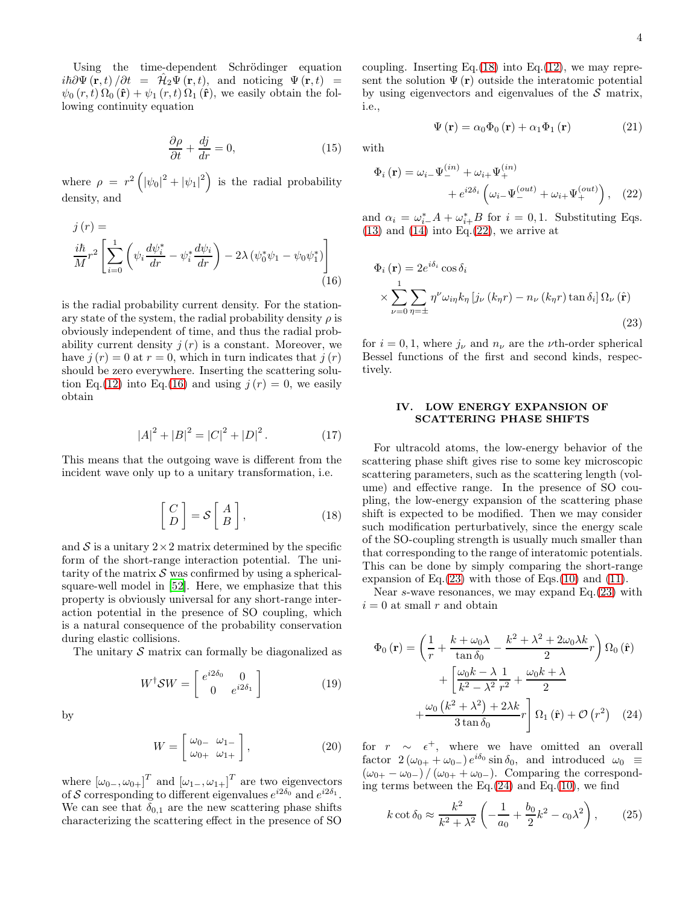Using the time-dependent Schrödinger equation  $i\hbar\partial\Psi(\mathbf{r},t)/\partial t = \hat{\mathcal{H}}_2\Psi(\mathbf{r},t)$ , and noticing  $\Psi(\mathbf{r},t) =$  $\psi_0(r, t) \Omega_0(\hat{\mathbf{r}}) + \psi_1(r, t) \Omega_1(\hat{\mathbf{r}})$ , we easily obtain the following continuity equation

$$
\frac{\partial \rho}{\partial t} + \frac{dj}{dr} = 0,\t(15)
$$

where  $\rho = r^2 \left( |\psi_0|^2 + |\psi_1|^2 \right)$  is the radial probability density, and

$$
j(r) =
$$
  

$$
\frac{i\hbar}{M}r^2 \left[ \sum_{i=0}^{1} \left( \psi_i \frac{d\psi_i^*}{dr} - \psi_i^* \frac{d\psi_i}{dr} \right) - 2\lambda \left( \psi_0^* \psi_1 - \psi_0 \psi_1^* \right) \right]
$$
  
(16)

is the radial probability current density. For the stationary state of the system, the radial probability density  $\rho$  is obviously independent of time, and thus the radial probability current density  $j(r)$  is a constant. Moreover, we have  $j(r) = 0$  at  $r = 0$ , which in turn indicates that  $j(r)$ should be zero everywhere. Inserting the scattering solu-tion Eq.[\(12\)](#page-2-1) into Eq.[\(16\)](#page-3-0) and using  $j(r) = 0$ , we easily obtain

$$
|A|^2 + |B|^2 = |C|^2 + |D|^2. \tag{17}
$$

This means that the outgoing wave is different from the incident wave only up to a unitary transformation, i.e.

<span id="page-3-1"></span>
$$
\begin{bmatrix} C \\ D \end{bmatrix} = \mathcal{S} \begin{bmatrix} A \\ B \end{bmatrix}, \tag{18}
$$

and  $S$  is a unitary  $2 \times 2$  matrix determined by the specific form of the short-range interaction potential. The unitarity of the matrix  $\mathcal S$  was confirmed by using a sphericalsquare-well model in [\[52\]](#page-8-1). Here, we emphasize that this property is obviously universal for any short-range interaction potential in the presence of SO coupling, which is a natural consequence of the probability conservation during elastic collisions.

The unitary  $\mathcal S$  matrix can formally be diagonalized as

$$
W^{\dagger}SW = \begin{bmatrix} e^{i2\delta_0} & 0\\ 0 & e^{i2\delta_1} \end{bmatrix}
$$
 (19)

by

$$
W = \begin{bmatrix} \omega_{0-} & \omega_{1-} \\ \omega_{0+} & \omega_{1+} \end{bmatrix}, \tag{20}
$$

where  $[\omega_{0-}, \omega_{0+}]^T$  and  $[\omega_{1-}, \omega_{1+}]^T$  are two eigenvectors of S corresponding to different eigenvalues  $e^{i2\delta_0}$  and  $e^{i2\delta_1}$ . We can see that  $\delta_{0,1}$  are the new scattering phase shifts characterizing the scattering effect in the presence of SO

coupling. Inserting Eq. $(18)$  into Eq. $(12)$ , we may represent the solution  $\Psi(\mathbf{r})$  outside the interatomic potential by using eigenvectors and eigenvalues of the  $S$  matrix, i.e.,

<span id="page-3-2"></span>
$$
\Psi(\mathbf{r}) = \alpha_0 \Phi_0(\mathbf{r}) + \alpha_1 \Phi_1(\mathbf{r}) \tag{21}
$$

with

$$
\Phi_i(\mathbf{r}) = \omega_{i-} \Psi_{-}^{(in)} + \omega_{i+} \Psi_{+}^{(in)}
$$

$$
+ e^{i2\delta_i} \left( \omega_{i-} \Psi_{-}^{(out)} + \omega_{i+} \Psi_{+}^{(out)} \right), \quad (22)
$$

and  $\alpha_i = \omega_{i-}^* A + \omega_{i+}^* B$  for  $i = 0, 1$ . Substituting Eqs.  $(13)$  and  $(14)$  into Eq. $(22)$ , we arrive at

<span id="page-3-0"></span>
$$
\Phi_i(\mathbf{r}) = 2e^{i\delta_i} \cos \delta_i
$$
  
 
$$
\times \sum_{\nu=0}^1 \sum_{\eta=\pm} \eta^{\nu} \omega_{i\eta} k_{\eta} \left[ j_{\nu} (k_{\eta} r) - n_{\nu} (k_{\eta} r) \tan \delta_i \right] \Omega_{\nu} (\hat{\mathbf{r}})
$$
(23)

for  $i = 0, 1$ , where  $j_{\nu}$  and  $n_{\nu}$  are the *v*th-order spherical Bessel functions of the first and second kinds, respectively.

### <span id="page-3-3"></span>IV. LOW ENERGY EXPANSION OF SCATTERING PHASE SHIFTS

For ultracold atoms, the low-energy behavior of the scattering phase shift gives rise to some key microscopic scattering parameters, such as the scattering length (volume) and effective range. In the presence of SO coupling, the low-energy expansion of the scattering phase shift is expected to be modified. Then we may consider such modification perturbatively, since the energy scale of the SO-coupling strength is usually much smaller than that corresponding to the range of interatomic potentials. This can be done by simply comparing the short-range expansion of Eq. $(23)$  with those of Eqs. $(10)$  and  $(11)$ .

Near s-wave resonances, we may expand  $Eq.(23)$  $Eq.(23)$  with  $i = 0$  at small r and obtain

$$
\Phi_0(\mathbf{r}) = \left(\frac{1}{r} + \frac{k + \omega_0 \lambda}{\tan \delta_0} - \frac{k^2 + \lambda^2 + 2\omega_0 \lambda k}{2}r\right) \Omega_0(\hat{\mathbf{r}})
$$

$$
+ \left[\frac{\omega_0 k - \lambda}{k^2 - \lambda^2} \frac{1}{r^2} + \frac{\omega_0 k + \lambda}{2} + \frac{\omega_0 (k^2 + \lambda^2) + 2\lambda k}{3 \tan \delta_0}r\right] \Omega_1(\hat{\mathbf{r}}) + \mathcal{O}(r^2) \quad (24)
$$

for  $r \sim \epsilon^+$ , where we have omitted an overall factor  $2(\omega_{0+} + \omega_{0-})e^{i\delta_0}\sin \delta_0$ , and introduced  $\omega_0$  =  $(\omega_{0+} - \omega_{0-}) / (\omega_{0+} + \omega_{0-})$ . Comparing the corresponding terms between the Eq. $(24)$  and Eq. $(10)$ , we find

<span id="page-3-5"></span><span id="page-3-4"></span>
$$
k \cot \delta_0 \approx \frac{k^2}{k^2 + \lambda^2} \left( -\frac{1}{a_0} + \frac{b_0}{2} k^2 - c_0 \lambda^2 \right),
$$
 (25)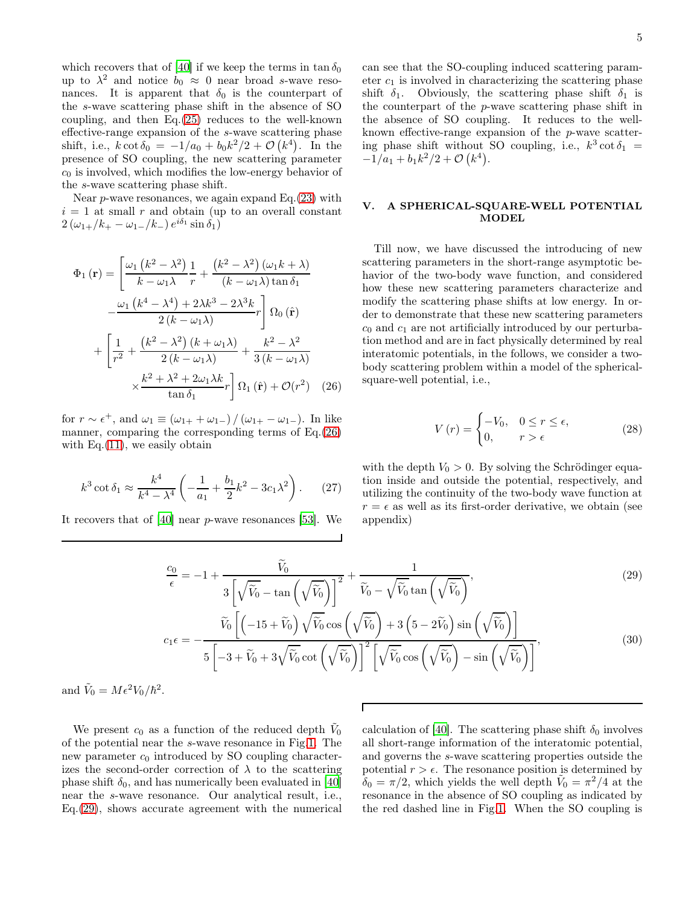which recovers that of [\[40\]](#page-7-12) if we keep the terms in  $\tan \delta_0$ up to  $\lambda^2$  and notice  $b_0 \approx 0$  near broad s-wave resonances. It is apparent that  $\delta_0$  is the counterpart of the s-wave scattering phase shift in the absence of SO coupling, and then Eq.[\(25\)](#page-3-5) reduces to the well-known effective-range expansion of the s-wave scattering phase shift, i.e.,  $k \cot \delta_0 = -1/a_0 + b_0 k^2/2 + \mathcal{O}(k^4)$ . In the presence of SO coupling, the new scattering parameter  $c<sub>0</sub>$  is involved, which modifies the low-energy behavior of the s-wave scattering phase shift.

Near  $p$ -wave resonances, we again expand Eq. $(23)$  with  $i = 1$  at small r and obtain (up to an overall constant  $2(\omega_{1+}/k_+ - \omega_{1-}/k_-) e^{i\delta_1} \sin \delta_1)$ 

$$
\Phi_{1}(\mathbf{r}) = \left[\frac{\omega_{1} (k^{2} - \lambda^{2})}{k - \omega_{1}\lambda} \frac{1}{r} + \frac{(k^{2} - \lambda^{2}) (\omega_{1}k + \lambda)}{(k - \omega_{1}\lambda) \tan \delta_{1}} -\frac{\omega_{1} (k^{4} - \lambda^{4}) + 2\lambda k^{3} - 2\lambda^{3}k}{2(k - \omega_{1}\lambda)} r\right] \Omega_{0}(\hat{\mathbf{r}})
$$

$$
+ \left[\frac{1}{r^{2}} + \frac{(k^{2} - \lambda^{2}) (k + \omega_{1}\lambda)}{2(k - \omega_{1}\lambda)} + \frac{k^{2} - \lambda^{2}}{3(k - \omega_{1}\lambda)} + \frac{k^{2} - \lambda^{2}}{3(k - \omega_{1}\lambda)} + \frac{k^{2} + \lambda^{2} + 2\omega_{1}\lambda k}{\tan \delta_{1}} r\right] \Omega_{1}(\hat{\mathbf{r}}) + \mathcal{O}(r^{2}) \quad (26)
$$

for  $r \sim \epsilon^+$ , and  $\omega_1 \equiv (\omega_{1+} + \omega_{1-})/(\omega_{1+} - \omega_{1-})$ . In like manner, comparing the corresponding terms of Eq.[\(26\)](#page-4-0) with Eq. $(11)$ , we easily obtain

$$
k^3 \cot \delta_1 \approx \frac{k^4}{k^4 - \lambda^4} \left( -\frac{1}{a_1} + \frac{b_1}{2} k^2 - 3c_1 \lambda^2 \right). \tag{27}
$$

It recovers that of [\[40\]](#page-7-12) near p-wave resonances [\[53](#page-8-2)]. We

can see that the SO-coupling induced scattering parameter  $c_1$  is involved in characterizing the scattering phase shift  $\delta_1$ . Obviously, the scattering phase shift  $\delta_1$  is the counterpart of the p-wave scattering phase shift in the absence of SO coupling. It reduces to the wellknown effective-range expansion of the p-wave scattering phase shift without SO coupling, i.e.,  $k^3 \cot \delta_1$  =  $-\tilde{1}/a_1 + b_1k^2/2 + \mathcal{O}(k^4).$ 

## V. A SPHERICAL-SQUARE-WELL POTENTIAL MODEL

Till now, we have discussed the introducing of new scattering parameters in the short-range asymptotic behavior of the two-body wave function, and considered how these new scattering parameters characterize and modify the scattering phase shifts at low energy. In order to demonstrate that these new scattering parameters  $c_0$  and  $c_1$  are not artificially introduced by our perturbation method and are in fact physically determined by real interatomic potentials, in the follows, we consider a twobody scattering problem within a model of the sphericalsquare-well potential, i.e.,

$$
V(r) = \begin{cases} -V_0, & 0 \le r \le \epsilon, \\ 0, & r > \epsilon \end{cases}
$$
 (28)

<span id="page-4-0"></span>with the depth  $V_0 > 0$ . By solving the Schrödinger equation inside and outside the potential, respectively, and utilizing the continuity of the two-body wave function at  $r = \epsilon$  as well as its first-order derivative, we obtain (see appendix)

<span id="page-4-1"></span>
$$
\frac{c_0}{\epsilon} = -1 + \frac{\widetilde{V}_0}{3\left[\sqrt{\widetilde{V}_0} - \tan\left(\sqrt{\widetilde{V}_0}\right)\right]^2} + \frac{1}{\widetilde{V}_0 - \sqrt{\widetilde{V}_0}\tan\left(\sqrt{\widetilde{V}_0}\right)},
$$
\n
$$
\widetilde{V}_0 \left[ \left(-15 + \widetilde{V}_0\right) \sqrt{\widetilde{V}_0} \cos\left(\sqrt{\widetilde{V}_0}\right) + 3\left(5 - 2\widetilde{V}_0\right) \sin\left(\sqrt{\widetilde{V}_0}\right) \right]
$$
\n(29)

$$
c_1 \epsilon = -\frac{[\sqrt{6} \sqrt{6} \sqrt{6} \cot(\sqrt{\tilde{V}_0})]^2 [\sqrt{\tilde{V}_0} \cos(\sqrt{\tilde{V}_0}) - \sin(\sqrt{\tilde{V}_0})]}{5[-3 + \tilde{V}_0 + 3\sqrt{\tilde{V}_0} \cot(\sqrt{\tilde{V}_0})]^2 [\sqrt{\tilde{V}_0} \cos(\sqrt{\tilde{V}_0}) - \sin(\sqrt{\tilde{V}_0})]}
$$
\n(30)

Г

and  $\tilde{V}_0 = M \epsilon^2 V_0 / \hbar^2$ .

We present  $c_0$  as a function of the reduced depth  $\tilde{V}_0$ of the potential near the s-wave resonance in Fig[.1.](#page-5-0) The new parameter  $c_0$  introduced by SO coupling characterizes the second-order correction of  $\lambda$  to the scattering phase shift  $\delta_0$ , and has numerically been evaluated in [\[40](#page-7-12)] near the s-wave resonance. Our analytical result, i.e., Eq.[\(29\)](#page-4-1), shows accurate agreement with the numerical calculation of [\[40\]](#page-7-12). The scattering phase shift  $\delta_0$  involves all short-range information of the interatomic potential, and governs the s-wave scattering properties outside the potential  $r > \epsilon$ . The resonance position is determined by  $\tilde{\delta}_0 = \pi/2$ , which yields the well depth  $\tilde{V}_0 = \pi^2/4$  at the resonance in the absence of SO coupling as indicated by the red dashed line in Fig[.1.](#page-5-0) When the SO coupling is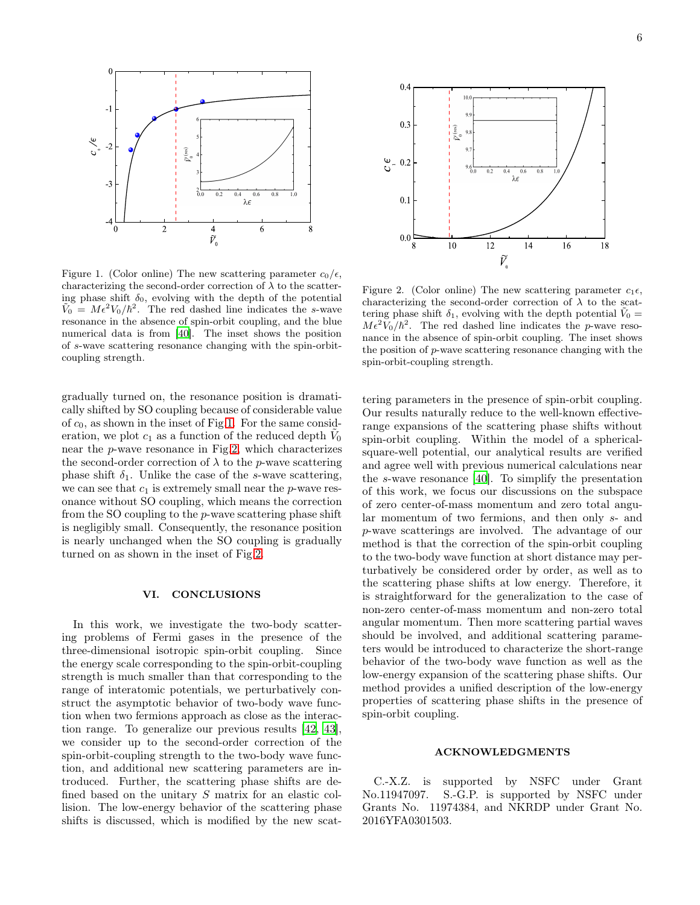

<span id="page-5-0"></span>Figure 1. (Color online) The new scattering parameter  $c_0/\epsilon$ , characterizing the second-order correction of  $\lambda$  to the scattering phase shift  $\delta_0$ , evolving with the depth of the potential  $\tilde{V}_0 = M \epsilon^2 V_0 / \hbar^2$ . The red dashed line indicates the s-wave resonance in the absence of spin-orbit coupling, and the blue numerical data is from [\[40](#page-7-12)]. The inset shows the position of s-wave scattering resonance changing with the spin-orbitcoupling strength.

gradually turned on, the resonance position is dramatically shifted by SO coupling because of considerable value of  $c_0$ , as shown in the inset of Fig[.1.](#page-5-0) For the same consideration, we plot  $c_1$  as a function of the reduced depth  $\tilde{V}_0$ near the p-wave resonance in Fig[.2,](#page-5-1) which characterizes the second-order correction of  $\lambda$  to the *p*-wave scattering phase shift  $\delta_1$ . Unlike the case of the s-wave scattering, we can see that  $c_1$  is extremely small near the p-wave resonance without SO coupling, which means the correction from the SO coupling to the p-wave scattering phase shift is negligibly small. Consequently, the resonance position is nearly unchanged when the SO coupling is gradually turned on as shown in the inset of Fig[.2.](#page-5-1)

### VI. CONCLUSIONS

In this work, we investigate the two-body scattering problems of Fermi gases in the presence of the three-dimensional isotropic spin-orbit coupling. Since the energy scale corresponding to the spin-orbit-coupling strength is much smaller than that corresponding to the range of interatomic potentials, we perturbatively construct the asymptotic behavior of two-body wave function when two fermions approach as close as the interaction range. To generalize our previous results [\[42,](#page-7-14) [43\]](#page-7-15), we consider up to the second-order correction of the spin-orbit-coupling strength to the two-body wave function, and additional new scattering parameters are introduced. Further, the scattering phase shifts are defined based on the unitary S matrix for an elastic collision. The low-energy behavior of the scattering phase shifts is discussed, which is modified by the new scat-



<span id="page-5-1"></span>Figure 2. (Color online) The new scattering parameter  $c_1 \epsilon$ , characterizing the second-order correction of  $\lambda$  to the scattering phase shift  $\delta_1$ , evolving with the depth potential  $\tilde{V}_0 =$  $M \epsilon^2 V_0 / \hbar^2$ . The red dashed line indicates the p-wave resonance in the absence of spin-orbit coupling. The inset shows the position of p-wave scattering resonance changing with the spin-orbit-coupling strength.

tering parameters in the presence of spin-orbit coupling. Our results naturally reduce to the well-known effectiverange expansions of the scattering phase shifts without spin-orbit coupling. Within the model of a sphericalsquare-well potential, our analytical results are verified and agree well with previous numerical calculations near the s-wave resonance [\[40](#page-7-12)]. To simplify the presentation of this work, we focus our discussions on the subspace of zero center-of-mass momentum and zero total angular momentum of two fermions, and then only s- and p-wave scatterings are involved. The advantage of our method is that the correction of the spin-orbit coupling to the two-body wave function at short distance may perturbatively be considered order by order, as well as to the scattering phase shifts at low energy. Therefore, it is straightforward for the generalization to the case of non-zero center-of-mass momentum and non-zero total angular momentum. Then more scattering partial waves should be involved, and additional scattering parameters would be introduced to characterize the short-range behavior of the two-body wave function as well as the low-energy expansion of the scattering phase shifts. Our method provides a unified description of the low-energy properties of scattering phase shifts in the presence of spin-orbit coupling.

#### ACKNOWLEDGMENTS

C.-X.Z. is supported by NSFC under Grant No.11947097. S.-G.P. is supported by NSFC under Grants No. 11974384, and NKRDP under Grant No. 2016YFA0301503.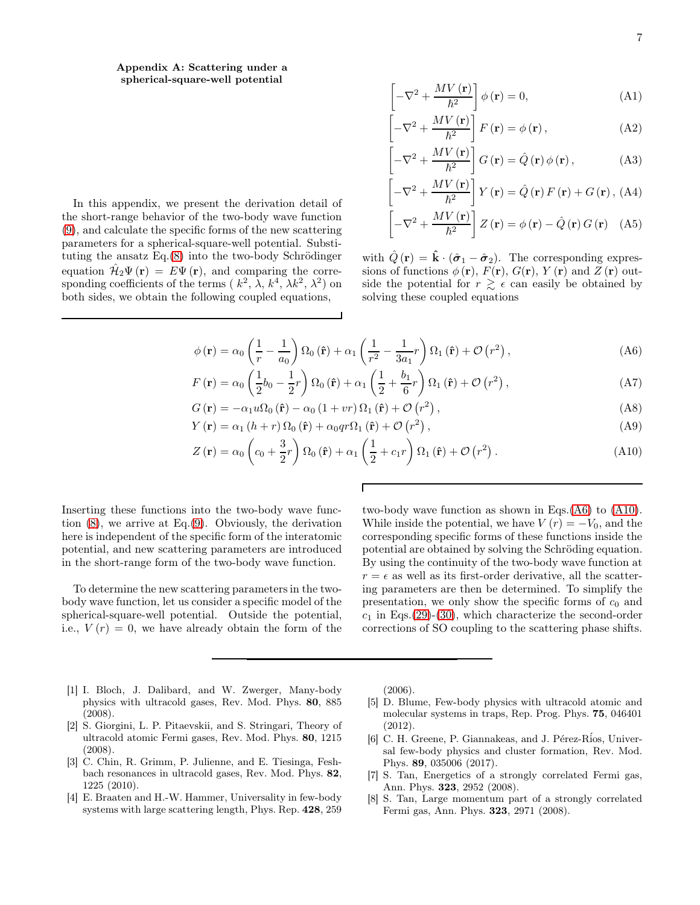Appendix A: Scattering under a spherical-square-well potential

In this appendix, we present the derivation detail of the short-range behavior of the two-body wave function [\(9\)](#page-2-6), and calculate the specific forms of the new scattering parameters for a spherical-square-well potential. Substituting the ansatz  $Eq.(8)$  $Eq.(8)$  into the two-body Schrödinger equation  $\hat{\mathcal{H}}_2\Psi(\mathbf{r}) = E\Psi(\mathbf{r})$ , and comparing the corresponding coefficients of the terms  $(k^2, \lambda, k^4, \lambda k^2, \lambda^2)$  on both sides, we obtain the following coupled equations,

$$
\left[ -\nabla^2 + \frac{MV\left(\mathbf{r}\right)}{\hbar^2} \right] \phi\left(\mathbf{r}\right) = 0,\tag{A1}
$$

$$
\left[-\nabla^2 + \frac{MV(\mathbf{r})}{\hbar^2}\right]F(\mathbf{r}) = \phi(\mathbf{r}),\tag{A2}
$$

$$
\left[-\nabla^2 + \frac{MV(\mathbf{r})}{\hbar^2}\right] G(\mathbf{r}) = \hat{Q}(\mathbf{r}) \phi(\mathbf{r}), \qquad (A3)
$$

$$
\left[-\nabla^2 + \frac{MV(\mathbf{r})}{\hbar^2}\right] Y(\mathbf{r}) = \hat{Q}(\mathbf{r}) F(\mathbf{r}) + G(\mathbf{r}), \text{ (A4)}
$$
\n
$$
\left[\nabla^2 + \frac{MV(\mathbf{r})}{\hbar^2}\right] Z(\mathbf{r}) = \hat{Q}(\mathbf{r}) \hat{Q}(\mathbf{r}) G(\mathbf{r}) \tag{A5}
$$

$$
\left[ -\nabla^2 + \frac{M V(\mathbf{r})}{\hbar^2} \right] Z(\mathbf{r}) = \phi(\mathbf{r}) - \hat{Q}(\mathbf{r}) G(\mathbf{r}) \quad (A5)
$$

with  $\hat{Q}(\mathbf{r}) = \hat{\mathbf{k}} \cdot (\hat{\boldsymbol{\sigma}}_1 - \hat{\boldsymbol{\sigma}}_2)$ . The corresponding expressions of functions  $\phi(\mathbf{r})$ ,  $F(\mathbf{r})$ ,  $G(\mathbf{r})$ ,  $Y(\mathbf{r})$  and  $Z(\mathbf{r})$  outside the potential for  $r \geq \epsilon$  can easily be obtained by solving these coupled equations

<span id="page-6-5"></span>
$$
\phi(\mathbf{r}) = \alpha_0 \left( \frac{1}{r} - \frac{1}{a_0} \right) \Omega_0(\hat{\mathbf{r}}) + \alpha_1 \left( \frac{1}{r^2} - \frac{1}{3a_1} r \right) \Omega_1(\hat{\mathbf{r}}) + \mathcal{O}(r^2) , \qquad (A6)
$$

$$
F(\mathbf{r}) = \alpha_0 \left(\frac{1}{2}b_0 - \frac{1}{2}r\right) \Omega_0(\hat{\mathbf{r}}) + \alpha_1 \left(\frac{1}{2} + \frac{b_1}{6}r\right) \Omega_1(\hat{\mathbf{r}}) + \mathcal{O}(r^2), \tag{A7}
$$

$$
G(\mathbf{r}) = -\alpha_1 u \Omega_0(\hat{\mathbf{r}}) - \alpha_0 (1 + v r) \Omega_1(\hat{\mathbf{r}}) + \mathcal{O}(r^2), \qquad (A8)
$$

$$
Y(\mathbf{r}) = \alpha_1 (h+r) \Omega_0(\hat{\mathbf{r}}) + \alpha_0 q r \Omega_1(\hat{\mathbf{r}}) + \mathcal{O}(r^2) , \qquad (A9)
$$

$$
Z(\mathbf{r}) = \alpha_0 \left( c_0 + \frac{3}{2} r \right) \Omega_0(\hat{\mathbf{r}}) + \alpha_1 \left( \frac{1}{2} + c_1 r \right) \Omega_1(\hat{\mathbf{r}}) + \mathcal{O}(r^2).
$$
 (A10)

Г

Inserting these functions into the two-body wave function [\(8\)](#page-2-0), we arrive at Eq.[\(9\)](#page-2-6). Obviously, the derivation here is independent of the specific form of the interatomic potential, and new scattering parameters are introduced in the short-range form of the two-body wave function.

To determine the new scattering parameters in the twobody wave function, let us consider a specific model of the spherical-square-well potential. Outside the potential, i.e.,  $V(r) = 0$ , we have already obtain the form of the

two-body wave function as shown in Eqs.[\(A6\)](#page-6-5) to [\(A10\)](#page-6-5). While inside the potential, we have  $V(r) = -V_0$ , and the corresponding specific forms of these functions inside the potential are obtained by solving the Schröding equation. By using the continuity of the two-body wave function at  $r = \epsilon$  as well as its first-order derivative, all the scattering parameters are then be determined. To simplify the presentation, we only show the specific forms of  $c_0$  and  $c_1$  in Eqs.[\(29\)](#page-4-1)-[\(30\)](#page-4-1), which characterize the second-order corrections of SO coupling to the scattering phase shifts.

- <span id="page-6-0"></span>[1] I. Bloch, J. Dalibard, and W. Zwerger, Many-body physics with ultracold gases, Rev. Mod. Phys. 80, 885 (2008).
- [2] S. Giorgini, L. P. Pitaevskii, and S. Stringari, Theory of ultracold atomic Fermi gases, Rev. Mod. Phys. 80, 1215 (2008).
- <span id="page-6-1"></span>[3] C. Chin, R. Grimm, P. Julienne, and E. Tiesinga, Feshbach resonances in ultracold gases, Rev. Mod. Phys. 82, 1225 (2010).
- <span id="page-6-2"></span>[4] E. Braaten and H.-W. Hammer, Universality in few-body systems with large scattering length, Phys. Rep. 428, 259

(2006).

- [5] D. Blume, Few-body physics with ultracold atomic and molecular systems in traps, Rep. Prog. Phys. 75, 046401 (2012).
- <span id="page-6-3"></span>[6] C. H. Greene, P. Giannakeas, and J. Pérez-Ríos, Universal few-body physics and cluster formation, Rev. Mod. Phys. 89, 035006 (2017).
- <span id="page-6-4"></span>[7] S. Tan, Energetics of a strongly correlated Fermi gas, Ann. Phys. 323, 2952 (2008).
- [8] S. Tan, Large momentum part of a strongly correlated Fermi gas, Ann. Phys. 323, 2971 (2008).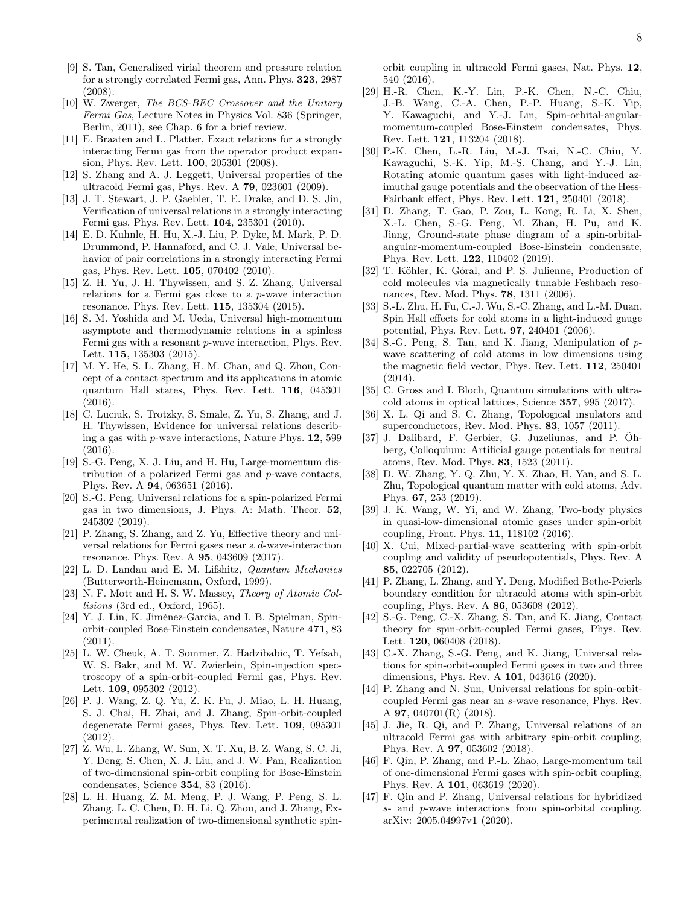- [9] S. Tan, Generalized virial theorem and pressure relation for a strongly correlated Fermi gas, Ann. Phys. 323, 2987 (2008).
- <span id="page-7-0"></span>[10] W. Zwerger, The BCS-BEC Crossover and the Unitary Fermi Gas, Lecture Notes in Physics Vol. 836 (Springer, Berlin, 2011), see Chap. 6 for a brief review.
- <span id="page-7-1"></span>[11] E. Braaten and L. Platter, Exact relations for a strongly interacting Fermi gas from the operator product expansion, Phys. Rev. Lett. 100, 205301 (2008).
- [12] S. Zhang and A. J. Leggett, Universal properties of the ultracold Fermi gas, Phys. Rev. A 79, 023601 (2009).
- [13] J. T. Stewart, J. P. Gaebler, T. E. Drake, and D. S. Jin, Verification of universal relations in a strongly interacting Fermi gas, Phys. Rev. Lett. 104, 235301 (2010).
- [14] E. D. Kuhnle, H. Hu, X.-J. Liu, P. Dyke, M. Mark, P. D. Drummond, P. Hannaford, and C. J. Vale, Universal behavior of pair correlations in a strongly interacting Fermi gas, Phys. Rev. Lett. 105, 070402 (2010).
- [15] Z. H. Yu, J. H. Thywissen, and S. Z. Zhang, Universal relations for a Fermi gas close to a p-wave interaction resonance, Phys. Rev. Lett. 115, 135304 (2015).
- [16] S. M. Yoshida and M. Ueda, Universal high-momentum asymptote and thermodynamic relations in a spinless Fermi gas with a resonant p-wave interaction, Phys. Rev. Lett. 115, 135303 (2015).
- [17] M. Y. He, S. L. Zhang, H. M. Chan, and Q. Zhou, Concept of a contact spectrum and its applications in atomic quantum Hall states, Phys. Rev. Lett. 116, 045301 (2016).
- [18] C. Luciuk, S. Trotzky, S. Smale, Z. Yu, S. Zhang, and J. H. Thywissen, Evidence for universal relations describing a gas with p-wave interactions, Nature Phys. 12, 599 (2016).
- [19] S.-G. Peng, X. J. Liu, and H. Hu, Large-momentum distribution of a polarized Fermi gas and p-wave contacts, Phys. Rev. A 94, 063651 (2016).
- <span id="page-7-2"></span>[20] S.-G. Peng, Universal relations for a spin-polarized Fermi gas in two dimensions, J. Phys. A: Math. Theor. 52, 245302 (2019).
- [21] P. Zhang, S. Zhang, and Z. Yu, Effective theory and universal relations for Fermi gases near a d-wave-interaction resonance, Phys. Rev. A 95, 043609 (2017).
- <span id="page-7-3"></span>[22] L. D. Landau and E. M. Lifshitz, Quantum Mechanics (Butterworth-Heinemann, Oxford, 1999).
- <span id="page-7-4"></span>[23] N. F. Mott and H. S. W. Massey, Theory of Atomic Collisions (3rd ed., Oxford, 1965).
- <span id="page-7-5"></span>[24] Y. J. Lin, K. Jiménez-Garcia, and I. B. Spielman, Spinorbit-coupled Bose-Einstein condensates, Nature 471, 83 (2011).
- <span id="page-7-17"></span>[25] L. W. Cheuk, A. T. Sommer, Z. Hadzibabic, T. Yefsah, W. S. Bakr, and M. W. Zwierlein, Spin-injection spectroscopy of a spin-orbit-coupled Fermi gas, Phys. Rev. Lett. 109, 095302 (2012).
- <span id="page-7-18"></span>[26] P. J. Wang, Z. Q. Yu, Z. K. Fu, J. Miao, L. H. Huang, S. J. Chai, H. Zhai, and J. Zhang, Spin-orbit-coupled degenerate Fermi gases, Phys. Rev. Lett. 109, 095301 (2012).
- [27] Z. Wu, L. Zhang, W. Sun, X. T. Xu, B. Z. Wang, S. C. Ji, Y. Deng, S. Chen, X. J. Liu, and J. W. Pan, Realization of two-dimensional spin-orbit coupling for Bose-Einstein condensates, Science 354, 83 (2016).
- [28] L. H. Huang, Z. M. Meng, P. J. Wang, P. Peng, S. L. Zhang, L. C. Chen, D. H. Li, Q. Zhou, and J. Zhang, Experimental realization of two-dimensional synthetic spin-

orbit coupling in ultracold Fermi gases, Nat. Phys. 12, 540 (2016).

- [29] H.-R. Chen, K.-Y. Lin, P.-K. Chen, N.-C. Chiu, J.-B. Wang, C.-A. Chen, P.-P. Huang, S.-K. Yip, Y. Kawaguchi, and Y.-J. Lin, Spin-orbital-angularmomentum-coupled Bose-Einstein condensates, Phys. Rev. Lett. 121, 113204 (2018).
- [30] P.-K. Chen, L.-R. Liu, M.-J. Tsai, N.-C. Chiu, Y. Kawaguchi, S.-K. Yip, M.-S. Chang, and Y.-J. Lin, Rotating atomic quantum gases with light-induced azimuthal gauge potentials and the observation of the Hess-Fairbank effect, Phys. Rev. Lett. 121, 250401 (2018).
- <span id="page-7-6"></span>[31] D. Zhang, T. Gao, P. Zou, L. Kong, R. Li, X. Shen, X.-L. Chen, S.-G. Peng, M. Zhan, H. Pu, and K. Jiang, Ground-state phase diagram of a spin-orbitalangular-momentum-coupled Bose-Einstein condensate, Phys. Rev. Lett. 122, 110402 (2019).
- <span id="page-7-7"></span>[32] T. Köhler, K. Góral, and P. S. Julienne, Production of cold molecules via magnetically tunable Feshbach resonances, Rev. Mod. Phys. 78, 1311 (2006).
- [33] S.-L. Zhu, H. Fu, C.-J. Wu, S.-C. Zhang, and L.-M. Duan, Spin Hall effects for cold atoms in a light-induced gauge potential, Phys. Rev. Lett. 97, 240401 (2006).
- [34] S.-G. Peng, S. Tan, and K. Jiang, Manipulation of pwave scattering of cold atoms in low dimensions using the magnetic field vector, Phys. Rev. Lett. 112, 250401 (2014).
- <span id="page-7-8"></span>[35] C. Gross and I. Bloch, Quantum simulations with ultracold atoms in optical lattices, Science 357, 995 (2017).
- <span id="page-7-9"></span>[36] X. L. Qi and S. C. Zhang, Topological insulators and superconductors, Rev. Mod. Phys. 83, 1057 (2011).
- [37] J. Dalibard, F. Gerbier, G. Juzeliunas, and P. Öhberg, Colloquium: Artificial gauge potentials for neutral atoms, Rev. Mod. Phys. 83, 1523 (2011).
- <span id="page-7-10"></span>[38] D. W. Zhang, Y. Q. Zhu, Y. X. Zhao, H. Yan, and S. L. Zhu, Topological quantum matter with cold atoms, Adv. Phys. 67, 253 (2019).
- <span id="page-7-11"></span>[39] J. K. Wang, W. Yi, and W. Zhang, Two-body physics in quasi-low-dimensional atomic gases under spin-orbit coupling, Front. Phys. 11, 118102 (2016).
- <span id="page-7-12"></span>[40] X. Cui, Mixed-partial-wave scattering with spin-orbit coupling and validity of pseudopotentials, Phys. Rev. A 85, 022705 (2012).
- <span id="page-7-13"></span>[41] P. Zhang, L. Zhang, and Y. Deng, Modified Bethe-Peierls boundary condition for ultracold atoms with spin-orbit coupling, Phys. Rev. A 86, 053608 (2012).
- <span id="page-7-14"></span>[42] S.-G. Peng, C.-X. Zhang, S. Tan, and K. Jiang, Contact theory for spin-orbit-coupled Fermi gases, Phys. Rev. Lett. **120**, 060408 (2018).
- <span id="page-7-15"></span>[43] C.-X. Zhang, S.-G. Peng, and K. Jiang, Universal relations for spin-orbit-coupled Fermi gases in two and three dimensions, Phys. Rev. A 101, 043616 (2020).
- [44] P. Zhang and N. Sun, Universal relations for spin-orbitcoupled Fermi gas near an s-wave resonance, Phys. Rev. A 97, 040701(R) (2018).
- [45] J. Jie, R. Qi, and P. Zhang, Universal relations of an ultracold Fermi gas with arbitrary spin-orbit coupling, Phys. Rev. A 97, 053602 (2018).
- [46] F. Qin, P. Zhang, and P.-L. Zhao, Large-momentum tail of one-dimensional Fermi gases with spin-orbit coupling, Phys. Rev. A 101, 063619 (2020).
- <span id="page-7-16"></span>[47] F. Qin and P. Zhang, Universal relations for hybridized s- and p-wave interactions from spin-orbital coupling, arXiv: 2005.04997v1 (2020).